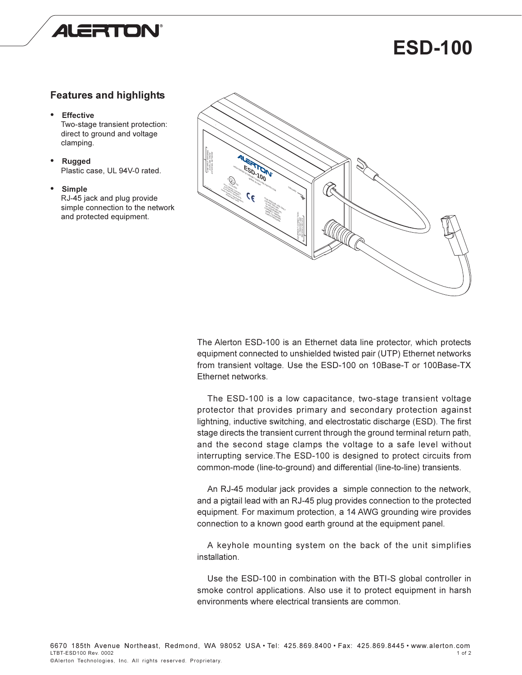

# ESD-100

# **Features and highlights**

**--**

Two-stage transient protection: direct to ground and voltage clamping.

**•** Rugged Plastic case, UL 94V-0 rated.

#### • Simple

RJ-45 jack and plug provide simple connection to the network and protected equipment.



The Alerton ESD-100 is an Ethernet data line protector, which protects equipment connected to unshielded twisted pair (UTP) Ethernet networks from transient voltage. Use the ESD-100 on 10Base-T or 100Base-TX Ethernet networks.

The ESD-100 is a low capacitance, two-stage transient voltage protector that provides primary and secondary protection against lightning, inductive switching, and electrostatic discharge (ESD). The first stage directs the transient current through the ground terminal return path, and the second stage clamps the voltage to a safe level without interrupting service. The ESD-100 is designed to protect circuits from common-mode (line-to-ground) and differential (line-to-line) transients.

An RJ-45 modular jack provides a simple connection to the network, and a pigtail lead with an RJ-45 plug provides connection to the protected equipment. For maximum protection, a 14 AWG grounding wire provides connection to a known good earth ground at the equipment panel.

A keyhole mounting system on the back of the unit simplifies installation.

Use the ESD-100 in combination with the BTI-S global controller in smoke control applications. Also use it to protect equipment in harsh environments where electrical transients are common.